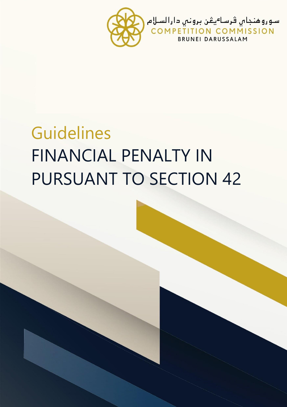

# Guidelines FINANCIAL PENALTY IN PURSUANT TO SECTION 42

FINANCIAL PENALTY IN

PURSUANT TO SECTION 42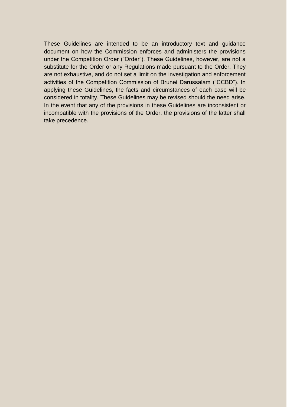These Guidelines are intended to be an introductory text and guidance document on how the Commission enforces and administers the provisions under the Competition Order ("Order"). These Guidelines, however, are not a substitute for the Order or any Regulations made pursuant to the Order. They are not exhaustive, and do not set a limit on the investigation and enforcement activities of the Competition Commission of Brunei Darussalam ("CCBD"). In applying these Guidelines, the facts and circumstances of each case will be considered in totality. These Guidelines may be revised should the need arise. In the event that any of the provisions in these Guidelines are inconsistent or incompatible with the provisions of the Order, the provisions of the latter shall take precedence.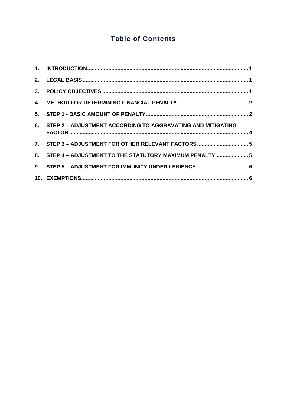# **Table of Contents**

| 6. STEP 2 - ADJUSTMENT ACCORDING TO AGGRAVATING AND MITIGATING |  |
|----------------------------------------------------------------|--|
| 7. STEP 3 - ADJUSTMENT FOR OTHER RELEVANT FACTORS 5            |  |
| 8. STEP 4 - ADJUSTMENT TO THE STATUTORY MAXIMUM PENALTY 5      |  |
|                                                                |  |
|                                                                |  |
|                                                                |  |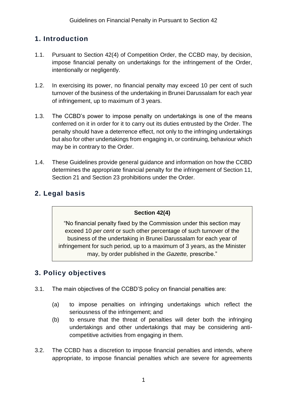# <span id="page-3-0"></span>**1. Introduction**

- 1.1. Pursuant to Section 42(4) of Competition Order, the CCBD may, by decision, impose financial penalty on undertakings for the infringement of the Order, intentionally or negligently.
- 1.2. In exercising its power, no financial penalty may exceed 10 per cent of such turnover of the business of the undertaking in Brunei Darussalam for each year of infringement, up to maximum of 3 years.
- 1.3. The CCBD's power to impose penalty on undertakings is one of the means conferred on it in order for it to carry out its duties entrusted by the Order. The penalty should have a deterrence effect, not only to the infringing undertakings but also for other undertakings from engaging in, or continuing, behaviour which may be in contrary to the Order.
- 1.4. These Guidelines provide general guidance and information on how the CCBD determines the appropriate financial penalty for the infringement of Section 11, Section 21 and Section 23 prohibitions under the Order.

## <span id="page-3-1"></span>**2. Legal basis**

#### **Section 42(4)**

"No financial penalty fixed by the Commission under this section may exceed 10 *per cent* or such other percentage of such turnover of the business of the undertaking in Brunei Darussalam for each year of infringement for such period, up to a maximum of 3 years, as the Minister may, by order published in the *Gazette,* prescribe."

# <span id="page-3-2"></span>**3. Policy objectives**

- 3.1. The main objectives of the CCBD'S policy on financial penalties are:
	- (a) to impose penalties on infringing undertakings which reflect the seriousness of the infringement; and
	- (b) to ensure that the threat of penalties will deter both the infringing undertakings and other undertakings that may be considering anticompetitive activities from engaging in them.
- 3.2. The CCBD has a discretion to impose financial penalties and intends, where appropriate, to impose financial penalties which are severe for agreements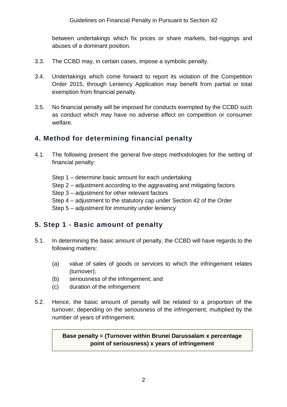between undertakings which fix prices or share markets, bid-riggings and abuses of a dominant position.

- 3.3. The CCBD may, in certain cases, impose a symbolic penalty.
- 3.4. Undertakings which come forward to report its violation of the Competition Order 2015, through Leniency Application may benefit from partial or total exemption from financial penalty.
- 3.5. No financial penalty will be imposed for conducts exempted by the CCBD such as conduct which may have no adverse effect on competition or consumer welfare.

## <span id="page-4-0"></span>**4. Method for determining financial penalty**

- 4.1. The following present the general five-steps methodologies for the setting of financial penalty:
	- Step 1 determine basic amount for each undertaking
	- Step 2 adjustment according to the aggravating and mitigating factors
	- Step 3 adjustment for other relevant factors
	- Step 4 adjustment to the statutory cap under Section 42 of the Order
	- Step 5 adjustment for immunity under leniency

### <span id="page-4-1"></span>**5. Step 1 - Basic amount of penalty**

- 5.1. In determining the basic amount of penalty, the CCBD will have regards to the following matters:
	- (a) value of sales of goods or services to which the infringement relates (turnover);
	- (b) seriousness of the infringement; and
	- (c) duration of the infringement
- 5.2. Hence, the basic amount of penalty will be related to a proportion of the turnover, depending on the seriousness of the infringement, multiplied by the number of years of infringement.

#### **Base penalty = (Turnover within Brunei Darussalam x percentage point of seriousness) x years of infringement**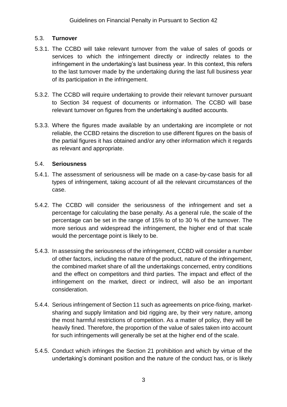#### 5.3. **Turnover**

- 5.3.1. The CCBD will take relevant turnover from the value of sales of goods or services to which the infringement directly or indirectly relates to the infringement in the undertaking's last business year. In this context, this refers to the last turnover made by the undertaking during the last full business year of its participation in the infringement.
- 5.3.2. The CCBD will require undertaking to provide their relevant turnover pursuant to Section 34 request of documents or information. The CCBD will base relevant turnover on figures from the undertaking's audited accounts.
- 5.3.3. Where the figures made available by an undertaking are incomplete or not reliable, the CCBD retains the discretion to use different figures on the basis of the partial figures it has obtained and/or any other information which it regards as relevant and appropriate.

#### 5.4. **Seriousness**

- 5.4.1. The assessment of seriousness will be made on a case-by-case basis for all types of infringement, taking account of all the relevant circumstances of the case.
- 5.4.2. The CCBD will consider the seriousness of the infringement and set a percentage for calculating the base penalty. As a general rule, the scale of the percentage can be set in the range of 15% to of to 30 % of the turnover. The more serious and widespread the infringement, the higher end of that scale would the percentage point is likely to be.
- 5.4.3. In assessing the seriousness of the infringement, CCBD will consider a number of other factors, including the nature of the product, nature of the infringement, the combined market share of all the undertakings concerned, entry conditions and the effect on competitors and third parties. The impact and effect of the infringement on the market, direct or indirect, will also be an important consideration.
- 5.4.4. Serious infringement of Section 11 such as agreements on price-fixing, marketsharing and supply limitation and bid rigging are, by their very nature, among the most harmful restrictions of competition. As a matter of policy, they will be heavily fined. Therefore, the proportion of the value of sales taken into account for such infringements will generally be set at the higher end of the scale.
- 5.4.5. Conduct which infringes the Section 21 prohibition and which by virtue of the undertaking's dominant position and the nature of the conduct has, or is likely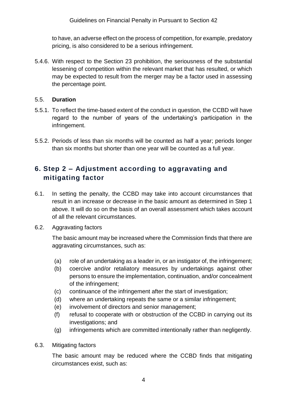to have, an adverse effect on the process of competition, for example, predatory pricing, is also considered to be a serious infringement.

5.4.6. With respect to the Section 23 prohibition, the seriousness of the substantial lessening of competition within the relevant market that has resulted, or which may be expected to result from the merger may be a factor used in assessing the percentage point.

#### 5.5. **Duration**

- 5.5.1. To reflect the time-based extent of the conduct in question, the CCBD will have regard to the number of years of the undertaking's participation in the infringement.
- 5.5.2. Periods of less than six months will be counted as half a year; periods longer than six months but shorter than one year will be counted as a full year.

# <span id="page-6-0"></span>**6. Step 2 – Adjustment according to aggravating and mitigating factor**

- 6.1. In setting the penalty, the CCBD may take into account circumstances that result in an increase or decrease in the basic amount as determined in Step 1 above. It will do so on the basis of an overall assessment which takes account of all the relevant circumstances.
- 6.2. Aggravating factors

The basic amount may be increased where the Commission finds that there are aggravating circumstances, such as:

- (a) role of an undertaking as a leader in, or an instigator of, the infringement;
- (b) coercive and/or retaliatory measures by undertakings against other persons to ensure the implementation, continuation, and/or concealment of the infringement;
- (c) continuance of the infringement after the start of investigation;
- (d) where an undertaking repeats the same or a similar infringement;
- (e) involvement of directors and senior management;
- (f) refusal to cooperate with or obstruction of the CCBD in carrying out its investigations; and
- (g) infringements which are committed intentionally rather than negligently.
- 6.3. Mitigating factors

The basic amount may be reduced where the CCBD finds that mitigating circumstances exist, such as: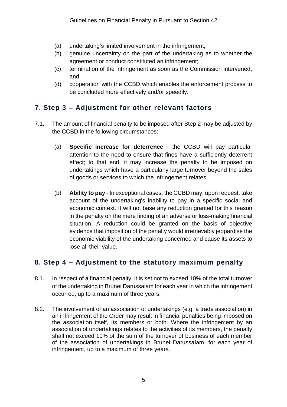- (a) undertaking's limited involvement in the infringement;
- (b) genuine uncertainty on the part of the undertaking as to whether the agreement or conduct constituted an infringement;
- (c) termination of the infringement as soon as the Commission intervened; and
- (d) cooperation with the CCBD which enables the enforcement process to be concluded more effectively and/or speedily.

# <span id="page-7-0"></span>**7. Step 3 – Adjustment for other relevant factors**

- 7.1. The amount of financial penalty to be imposed after Step 2 may be adjusted by the CCBD in the following circumstances:
	- (a) **Specific increase for deterrence** the CCBD will pay particular attention to the need to ensure that fines have a sufficiently deterrent effect; to that end, it may increase the penalty to be imposed on undertakings which have a particularly large turnover beyond the sales of goods or services to which the infringement relates.
	- (b) **Ability to pay**  In exceptional cases, the CCBD may, upon request, take account of the undertaking's inability to pay in a specific social and economic context. It will not base any reduction granted for this reason in the penalty on the mere finding of an adverse or loss-making financial situation. A reduction could be granted on the basis of objective evidence that imposition of the penalty would irretrievably jeopardise the economic viability of the undertaking concerned and cause its assets to lose all their value.

# <span id="page-7-1"></span>**8. Step 4 – Adjustment to the statutory maximum penalty**

- 8.1. In respect of a financial penalty, it is set not to exceed 10% of the total turnover of the undertaking in Brunei Darussalam for each year in which the infringement occurred, up to a maximum of three years.
- 8.2. The involvement of an association of undertakings (e.g. a trade association) in an infringement of the Order may result in financial penalties being imposed on the association itself, its members or both. Where the infringement by an association of undertakings relates to the activities of its members, the penalty shall not exceed 10% of the sum of the turnover of business of each member of the association of undertakings in Brunei Darussalam, for each year of infringement, up to a maximum of three years.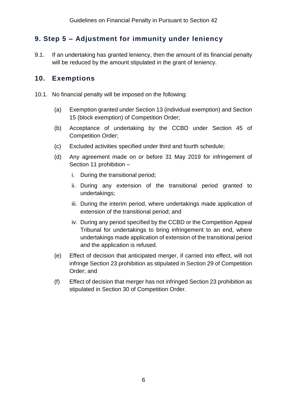# <span id="page-8-0"></span>**9. Step 5 – Adjustment for immunity under leniency**

9.1. If an undertaking has granted leniency, then the amount of its financial penalty will be reduced by the amount stipulated in the grant of leniency.

## <span id="page-8-1"></span>**10. Exemptions**

- 10.1. No financial penalty will be imposed on the following:
	- (a) Exemption granted under Section 13 (individual exemption) and Section 15 (block exemption) of Competition Order;
	- (b) Acceptance of undertaking by the CCBD under Section 45 of Competition Order;
	- (c) Excluded activities specified under third and fourth schedule;
	- (d) Any agreement made on or before 31 May 2019 for infringement of Section 11 prohibition –
		- i. During the transitional period;
		- ii. During any extension of the transitional period granted to undertakings;
		- iii. During the interim period, where undertakings made application of extension of the transitional period; and
		- iv. During any period specified by the CCBD or the Competition Appeal Tribunal for undertakings to bring infringement to an end, where undertakings made application of extension of the transitional period and the application is refused.
	- (e) Effect of decision that anticipated merger, if carried into effect, will not infringe Section 23 prohibition as stipulated in Section 29 of Competition Order; and
	- (f) Effect of decision that merger has not infringed Section 23 prohibition as stipulated in Section 30 of Competition Order.